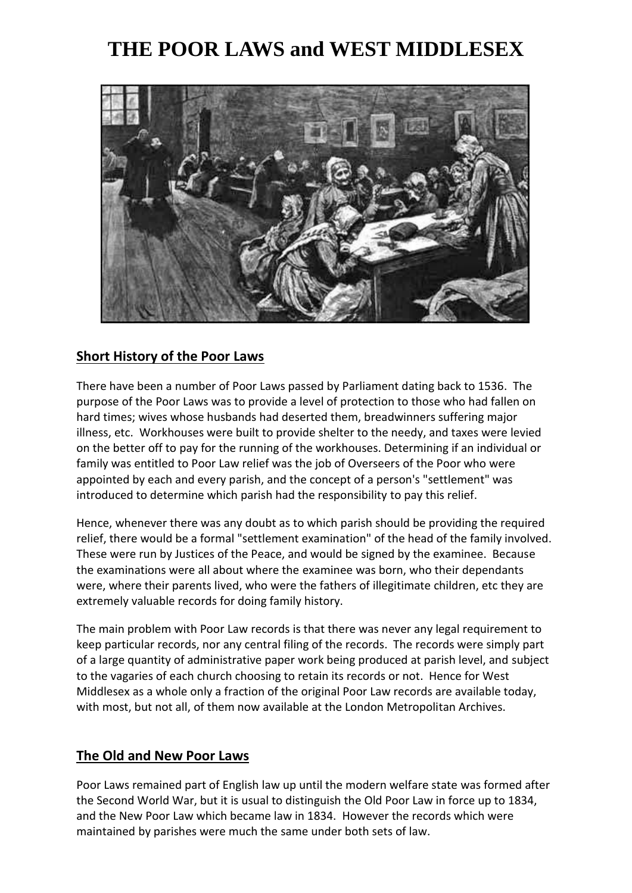# **THE POOR LAWS and WEST MIDDLESEX**



## **Short History of the Poor Laws**

There have been a number of Poor Laws passed by Parliament dating back to 1536. The purpose of the Poor Laws was to provide a level of protection to those who had fallen on hard times; wives whose husbands had deserted them, breadwinners suffering major illness, etc. Workhouses were built to provide shelter to the needy, and taxes were levied on the better off to pay for the running of the workhouses. Determining if an individual or family was entitled to Poor Law relief was the job of Overseers of the Poor who were appointed by each and every parish, and the concept of a person's "settlement" was introduced to determine which parish had the responsibility to pay this relief.

Hence, whenever there was any doubt as to which parish should be providing the required relief, there would be a formal "settlement examination" of the head of the family involved. These were run by Justices of the Peace, and would be signed by the examinee. Because the examinations were all about where the examinee was born, who their dependants were, where their parents lived, who were the fathers of illegitimate children, etc they are extremely valuable records for doing family history.

The main problem with Poor Law records is that there was never any legal requirement to keep particular records, nor any central filing of the records. The records were simply part of a large quantity of administrative paper work being produced at parish level, and subject to the vagaries of each church choosing to retain its records or not. Hence for West Middlesex as a whole only a fraction of the original Poor Law records are available today, with most, but not all, of them now available at the London Metropolitan Archives.

### **The Old and New Poor Laws**

Poor Laws remained part of English law up until the modern welfare state was formed after the Second World War, but it is usual to distinguish the Old Poor Law in force up to 1834, and the New Poor Law which became law in 1834. However the records which were maintained by parishes were much the same under both sets of law.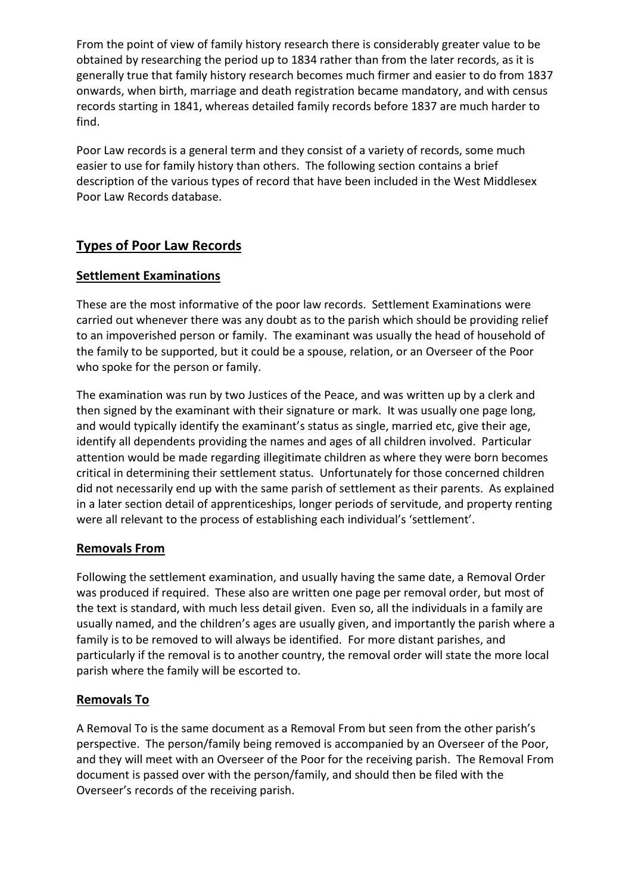From the point of view of family history research there is considerably greater value to be obtained by researching the period up to 1834 rather than from the later records, as it is generally true that family history research becomes much firmer and easier to do from 1837 onwards, when birth, marriage and death registration became mandatory, and with census records starting in 1841, whereas detailed family records before 1837 are much harder to find.

Poor Law records is a general term and they consist of a variety of records, some much easier to use for family history than others. The following section contains a brief description of the various types of record that have been included in the West Middlesex Poor Law Records database.

# **Types of Poor Law Records**

### **Settlement Examinations**

These are the most informative of the poor law records. Settlement Examinations were carried out whenever there was any doubt as to the parish which should be providing relief to an impoverished person or family. The examinant was usually the head of household of the family to be supported, but it could be a spouse, relation, or an Overseer of the Poor who spoke for the person or family.

The examination was run by two Justices of the Peace, and was written up by a clerk and then signed by the examinant with their signature or mark. It was usually one page long, and would typically identify the examinant's status as single, married etc, give their age, identify all dependents providing the names and ages of all children involved. Particular attention would be made regarding illegitimate children as where they were born becomes critical in determining their settlement status. Unfortunately for those concerned children did not necessarily end up with the same parish of settlement as their parents. As explained in a later section detail of apprenticeships, longer periods of servitude, and property renting were all relevant to the process of establishing each individual's 'settlement'.

#### **Removals From**

Following the settlement examination, and usually having the same date, a Removal Order was produced if required. These also are written one page per removal order, but most of the text is standard, with much less detail given. Even so, all the individuals in a family are usually named, and the children's ages are usually given, and importantly the parish where a family is to be removed to will always be identified. For more distant parishes, and particularly if the removal is to another country, the removal order will state the more local parish where the family will be escorted to.

#### **Removals To**

A Removal To is the same document as a Removal From but seen from the other parish's perspective. The person/family being removed is accompanied by an Overseer of the Poor, and they will meet with an Overseer of the Poor for the receiving parish. The Removal From document is passed over with the person/family, and should then be filed with the Overseer's records of the receiving parish.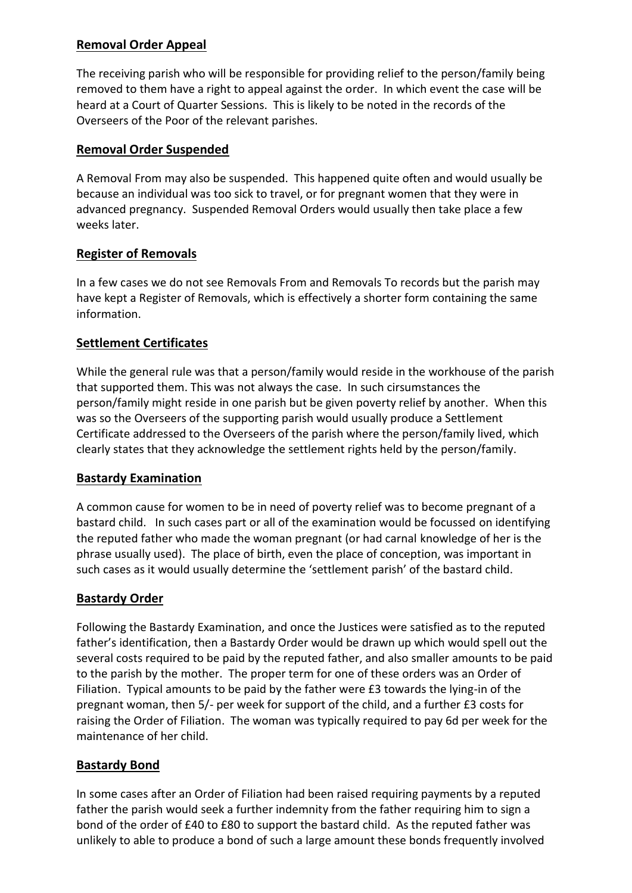### **Removal Order Appeal**

The receiving parish who will be responsible for providing relief to the person/family being removed to them have a right to appeal against the order. In which event the case will be heard at a Court of Quarter Sessions. This is likely to be noted in the records of the Overseers of the Poor of the relevant parishes.

#### **Removal Order Suspended**

A Removal From may also be suspended. This happened quite often and would usually be because an individual was too sick to travel, or for pregnant women that they were in advanced pregnancy. Suspended Removal Orders would usually then take place a few weeks later.

### **Register of Removals**

In a few cases we do not see Removals From and Removals To records but the parish may have kept a Register of Removals, which is effectively a shorter form containing the same information.

## **Settlement Certificates**

While the general rule was that a person/family would reside in the workhouse of the parish that supported them. This was not always the case. In such cirsumstances the person/family might reside in one parish but be given poverty relief by another. When this was so the Overseers of the supporting parish would usually produce a Settlement Certificate addressed to the Overseers of the parish where the person/family lived, which clearly states that they acknowledge the settlement rights held by the person/family.

### **Bastardy Examination**

A common cause for women to be in need of poverty relief was to become pregnant of a bastard child. In such cases part or all of the examination would be focussed on identifying the reputed father who made the woman pregnant (or had carnal knowledge of her is the phrase usually used). The place of birth, even the place of conception, was important in such cases as it would usually determine the 'settlement parish' of the bastard child.

### **Bastardy Order**

Following the Bastardy Examination, and once the Justices were satisfied as to the reputed father's identification, then a Bastardy Order would be drawn up which would spell out the several costs required to be paid by the reputed father, and also smaller amounts to be paid to the parish by the mother. The proper term for one of these orders was an Order of Filiation. Typical amounts to be paid by the father were £3 towards the lying-in of the pregnant woman, then 5/- per week for support of the child, and a further £3 costs for raising the Order of Filiation. The woman was typically required to pay 6d per week for the maintenance of her child.

### **Bastardy Bond**

In some cases after an Order of Filiation had been raised requiring payments by a reputed father the parish would seek a further indemnity from the father requiring him to sign a bond of the order of £40 to £80 to support the bastard child. As the reputed father was unlikely to able to produce a bond of such a large amount these bonds frequently involved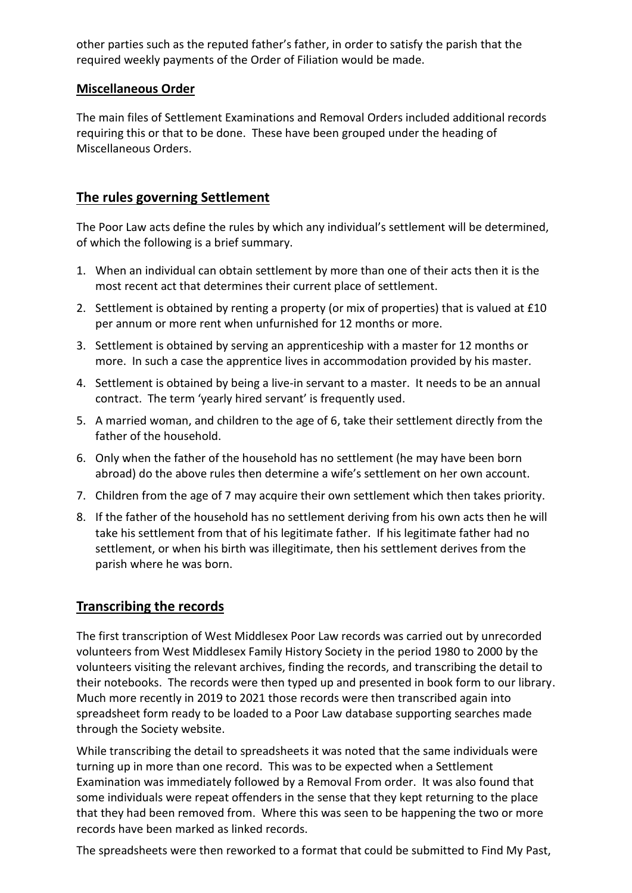other parties such as the reputed father's father, in order to satisfy the parish that the required weekly payments of the Order of Filiation would be made.

#### **Miscellaneous Order**

The main files of Settlement Examinations and Removal Orders included additional records requiring this or that to be done. These have been grouped under the heading of Miscellaneous Orders.

## **The rules governing Settlement**

The Poor Law acts define the rules by which any individual's settlement will be determined, of which the following is a brief summary.

- 1. When an individual can obtain settlement by more than one of their acts then it is the most recent act that determines their current place of settlement.
- 2. Settlement is obtained by renting a property (or mix of properties) that is valued at £10 per annum or more rent when unfurnished for 12 months or more.
- 3. Settlement is obtained by serving an apprenticeship with a master for 12 months or more. In such a case the apprentice lives in accommodation provided by his master.
- 4. Settlement is obtained by being a live-in servant to a master. It needs to be an annual contract. The term 'yearly hired servant' is frequently used.
- 5. A married woman, and children to the age of 6, take their settlement directly from the father of the household.
- 6. Only when the father of the household has no settlement (he may have been born abroad) do the above rules then determine a wife's settlement on her own account.
- 7. Children from the age of 7 may acquire their own settlement which then takes priority.
- 8. If the father of the household has no settlement deriving from his own acts then he will take his settlement from that of his legitimate father. If his legitimate father had no settlement, or when his birth was illegitimate, then his settlement derives from the parish where he was born.

## **Transcribing the records**

The first transcription of West Middlesex Poor Law records was carried out by unrecorded volunteers from West Middlesex Family History Society in the period 1980 to 2000 by the volunteers visiting the relevant archives, finding the records, and transcribing the detail to their notebooks. The records were then typed up and presented in book form to our library. Much more recently in 2019 to 2021 those records were then transcribed again into spreadsheet form ready to be loaded to a Poor Law database supporting searches made through the Society website.

While transcribing the detail to spreadsheets it was noted that the same individuals were turning up in more than one record. This was to be expected when a Settlement Examination was immediately followed by a Removal From order. It was also found that some individuals were repeat offenders in the sense that they kept returning to the place that they had been removed from. Where this was seen to be happening the two or more records have been marked as linked records.

The spreadsheets were then reworked to a format that could be submitted to Find My Past,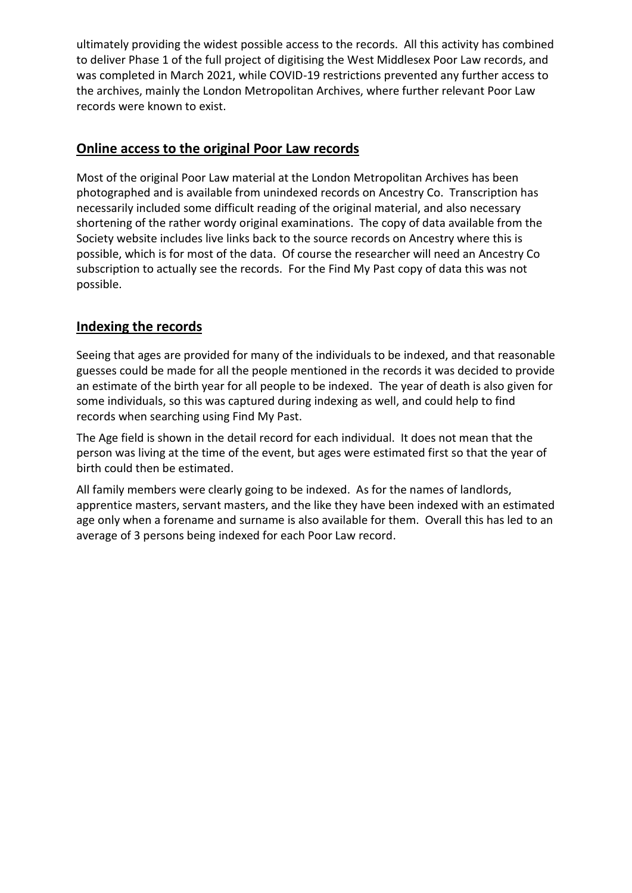ultimately providing the widest possible access to the records. All this activity has combined to deliver Phase 1 of the full project of digitising the West Middlesex Poor Law records, and was completed in March 2021, while COVID-19 restrictions prevented any further access to the archives, mainly the London Metropolitan Archives, where further relevant Poor Law records were known to exist.

### **Online access to the original Poor Law records**

Most of the original Poor Law material at the London Metropolitan Archives has been photographed and is available from unindexed records on Ancestry Co. Transcription has necessarily included some difficult reading of the original material, and also necessary shortening of the rather wordy original examinations. The copy of data available from the Society website includes live links back to the source records on Ancestry where this is possible, which is for most of the data. Of course the researcher will need an Ancestry Co subscription to actually see the records. For the Find My Past copy of data this was not possible.

## **Indexing the records**

Seeing that ages are provided for many of the individuals to be indexed, and that reasonable guesses could be made for all the people mentioned in the records it was decided to provide an estimate of the birth year for all people to be indexed. The year of death is also given for some individuals, so this was captured during indexing as well, and could help to find records when searching using Find My Past.

The Age field is shown in the detail record for each individual. It does not mean that the person was living at the time of the event, but ages were estimated first so that the year of birth could then be estimated.

All family members were clearly going to be indexed. As for the names of landlords, apprentice masters, servant masters, and the like they have been indexed with an estimated age only when a forename and surname is also available for them. Overall this has led to an average of 3 persons being indexed for each Poor Law record.